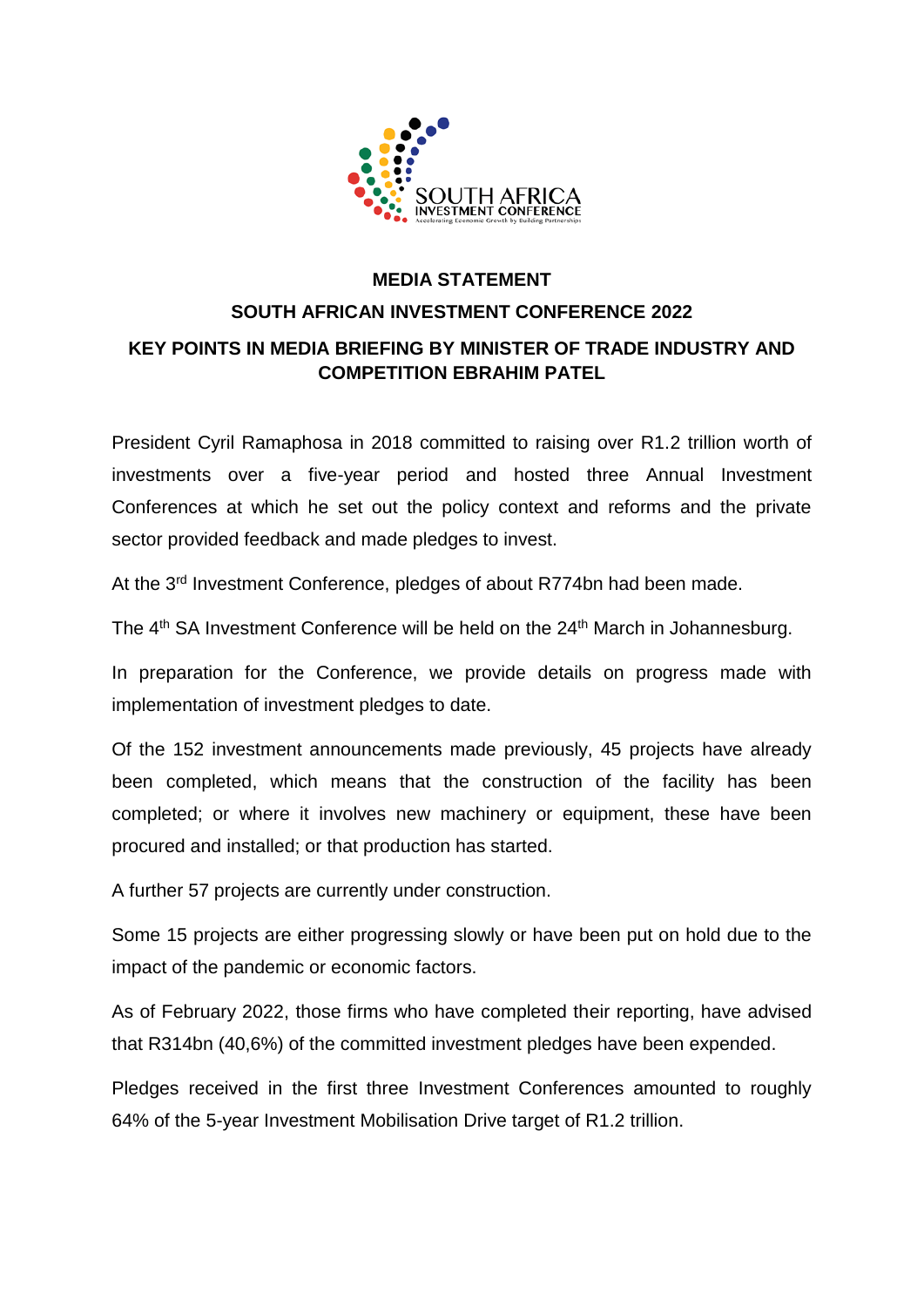

# **MEDIA STATEMENT SOUTH AFRICAN INVESTMENT CONFERENCE 2022 KEY POINTS IN MEDIA BRIEFING BY MINISTER OF TRADE INDUSTRY AND COMPETITION EBRAHIM PATEL**

President Cyril Ramaphosa in 2018 committed to raising over R1.2 trillion worth of investments over a five-year period and hosted three Annual Investment Conferences at which he set out the policy context and reforms and the private sector provided feedback and made pledges to invest.

At the 3<sup>rd</sup> Investment Conference, pledges of about R774bn had been made.

The 4<sup>th</sup> SA Investment Conference will be held on the 24<sup>th</sup> March in Johannesburg.

In preparation for the Conference, we provide details on progress made with implementation of investment pledges to date.

Of the 152 investment announcements made previously, 45 projects have already been completed, which means that the construction of the facility has been completed; or where it involves new machinery or equipment, these have been procured and installed; or that production has started.

A further 57 projects are currently under construction.

Some 15 projects are either progressing slowly or have been put on hold due to the impact of the pandemic or economic factors.

As of February 2022, those firms who have completed their reporting, have advised that R314bn (40,6%) of the committed investment pledges have been expended.

Pledges received in the first three Investment Conferences amounted to roughly 64% of the 5-year Investment Mobilisation Drive target of R1.2 trillion.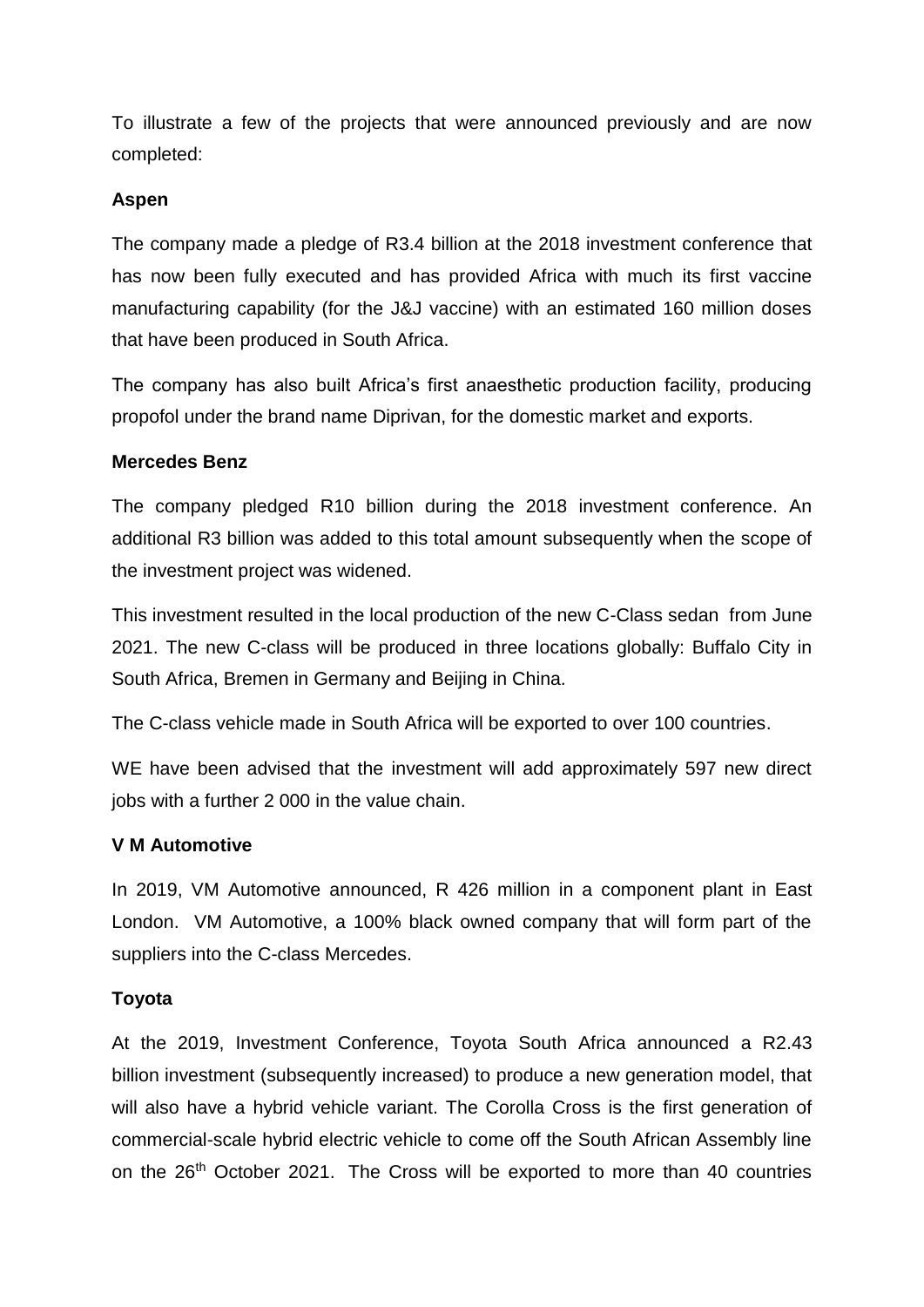To illustrate a few of the projects that were announced previously and are now completed:

### **Aspen**

The company made a pledge of R3.4 billion at the 2018 investment conference that has now been fully executed and has provided Africa with much its first vaccine manufacturing capability (for the J&J vaccine) with an estimated 160 million doses that have been produced in South Africa.

The company has also built Africa's first anaesthetic production facility, producing propofol under the brand name Diprivan, for the domestic market and exports.

#### **Mercedes Benz**

The company pledged R10 billion during the 2018 investment conference. An additional R3 billion was added to this total amount subsequently when the scope of the investment project was widened.

This investment resulted in the local production of the new C-Class sedan from June 2021. The new C-class will be produced in three locations globally: Buffalo City in South Africa, Bremen in Germany and Beijing in China.

The C-class vehicle made in South Africa will be exported to over 100 countries.

WE have been advised that the investment will add approximately 597 new direct jobs with a further 2 000 in the value chain.

## **V M Automotive**

In 2019, VM Automotive announced, R 426 million in a component plant in East London. VM Automotive, a 100% black owned company that will form part of the suppliers into the C-class Mercedes.

## **Toyota**

At the 2019, Investment Conference, Toyota South Africa announced a R2.43 billion investment (subsequently increased) to produce a new generation model, that will also have a hybrid vehicle variant. The Corolla Cross is the first generation of commercial-scale hybrid electric vehicle to come off the South African Assembly line on the 26<sup>th</sup> October 2021. The Cross will be exported to more than 40 countries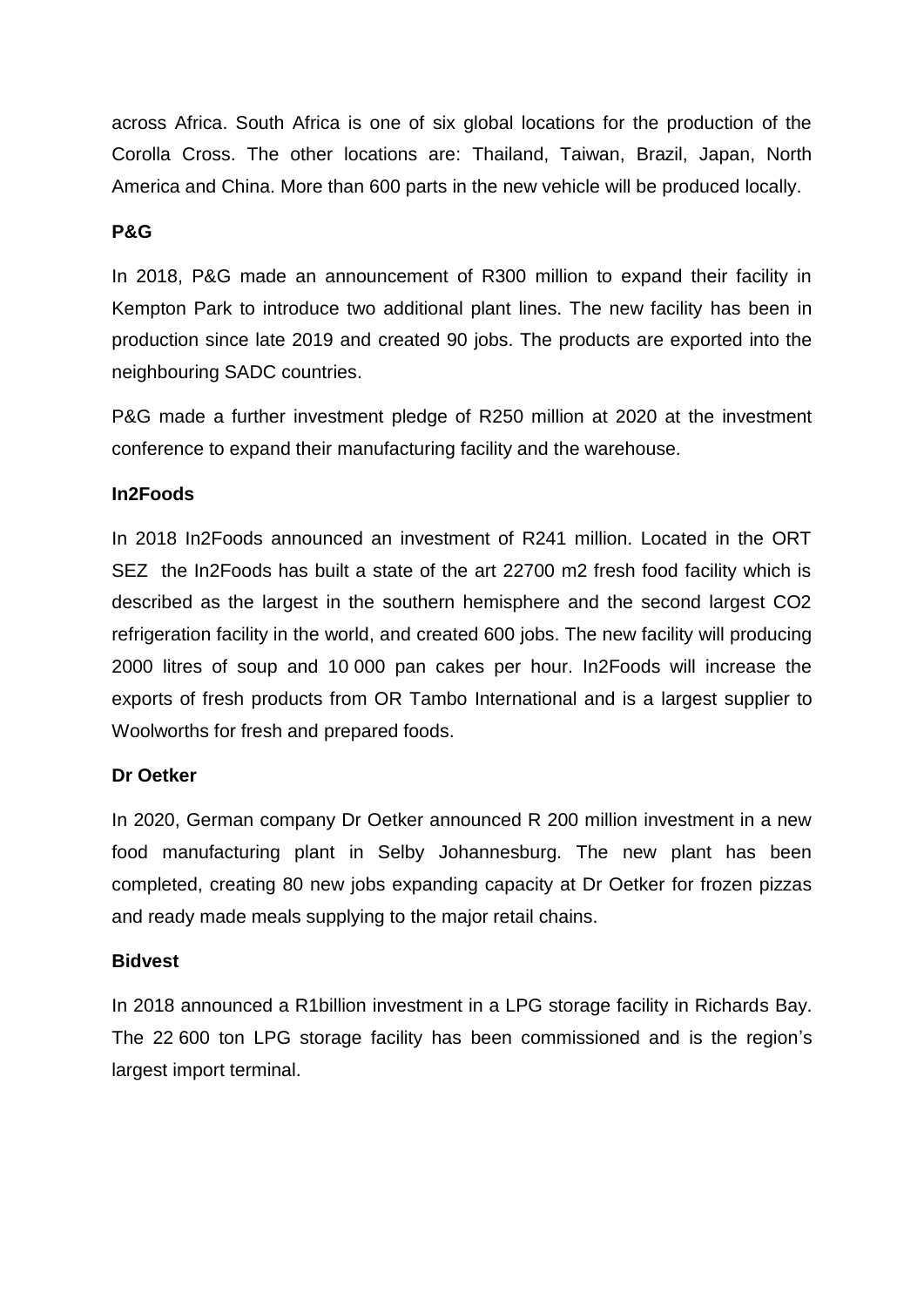across Africa. South Africa is one of six global locations for the production of the Corolla Cross. The other locations are: Thailand, Taiwan, Brazil, Japan, North America and China. More than 600 parts in the new vehicle will be produced locally.

#### **P&G**

In 2018, P&G made an announcement of R300 million to expand their facility in Kempton Park to introduce two additional plant lines. The new facility has been in production since late 2019 and created 90 jobs. The products are exported into the neighbouring SADC countries.

P&G made a further investment pledge of R250 million at 2020 at the investment conference to expand their manufacturing facility and the warehouse.

## **In2Foods**

In 2018 In2Foods announced an investment of R241 million. Located in the ORT SEZ the In2Foods has built a state of the art 22700 m2 fresh food facility which is described as the largest in the southern hemisphere and the second largest CO2 refrigeration facility in the world, and created 600 jobs. The new facility will producing 2000 litres of soup and 10 000 pan cakes per hour. In2Foods will increase the exports of fresh products from OR Tambo International and is a largest supplier to Woolworths for fresh and prepared foods.

## **Dr Oetker**

In 2020, German company Dr Oetker announced R 200 million investment in a new food manufacturing plant in Selby Johannesburg. The new plant has been completed, creating 80 new jobs expanding capacity at Dr Oetker for frozen pizzas and ready made meals supplying to the major retail chains.

#### **Bidvest**

In 2018 announced a R1billion investment in a LPG storage facility in Richards Bay. The 22 600 ton LPG storage facility has been commissioned and is the region's largest import terminal.